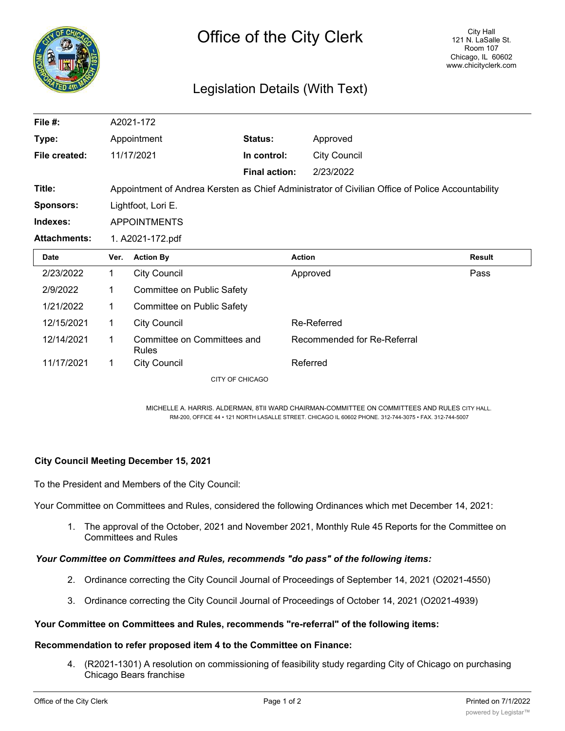

# Legislation Details (With Text)

| File #:             |                                                                                                  | A2021-172                                   |                      |                             |               |  |
|---------------------|--------------------------------------------------------------------------------------------------|---------------------------------------------|----------------------|-----------------------------|---------------|--|
| Type:               |                                                                                                  | Appointment                                 | Status:              | Approved                    |               |  |
| File created:       |                                                                                                  | 11/17/2021                                  | In control:          | <b>City Council</b>         |               |  |
|                     |                                                                                                  |                                             | <b>Final action:</b> | 2/23/2022                   |               |  |
| Title:              | Appointment of Andrea Kersten as Chief Administrator of Civilian Office of Police Accountability |                                             |                      |                             |               |  |
| <b>Sponsors:</b>    | Lightfoot, Lori E.                                                                               |                                             |                      |                             |               |  |
| Indexes:            | <b>APPOINTMENTS</b>                                                                              |                                             |                      |                             |               |  |
| <b>Attachments:</b> | 1. A2021-172.pdf                                                                                 |                                             |                      |                             |               |  |
| <b>Date</b>         | Ver.                                                                                             | <b>Action By</b>                            | <b>Action</b>        |                             | <b>Result</b> |  |
| 2/23/2022           | $\mathbf{1}$                                                                                     | <b>City Council</b>                         |                      | Approved                    | Pass          |  |
| 2/9/2022            | 1                                                                                                | Committee on Public Safety                  |                      |                             |               |  |
| 1/21/2022           | $\mathbf 1$                                                                                      | Committee on Public Safety                  |                      |                             |               |  |
| 12/15/2021          | 1                                                                                                | <b>City Council</b>                         |                      | Re-Referred                 |               |  |
| 12/14/2021          | $\mathbf 1$                                                                                      | Committee on Committees and<br><b>Rules</b> |                      | Recommended for Re-Referral |               |  |
| 11/17/2021          | 1                                                                                                | <b>City Council</b>                         |                      | Referred                    |               |  |
|                     |                                                                                                  | CITY OF CHICAGO                             |                      |                             |               |  |

MICHELLE A. HARRIS. ALDERMAN, 8TII WARD CHAIRMAN-COMMITTEE ON COMMITTEES AND RULES CITY HALL. RM-200, OFFICE 44 • 121 NORTH LASALLE STREET. CHICAGO IL 60602 PHONE. 312-744-3075 • FAX. 312-744-5007

### **City Council Meeting December 15, 2021**

To the President and Members of the City Council:

Your Committee on Committees and Rules, considered the following Ordinances which met December 14, 2021:

1. The approval of the October, 2021 and November 2021, Monthly Rule 45 Reports for the Committee on Committees and Rules

#### *Your Committee on Committees and Rules, recommends "do pass" of the following items:*

- 2. Ordinance correcting the City Council Journal of Proceedings of September 14, 2021 (O2021-4550)
- 3. Ordinance correcting the City Council Journal of Proceedings of October 14, 2021 (O2021-4939)

#### **Your Committee on Committees and Rules, recommends "re-referral" of the following items:**

#### **Recommendation to refer proposed item 4 to the Committee on Finance:**

4. (R2021-1301) A resolution on commissioning of feasibility study regarding City of Chicago on purchasing Chicago Bears franchise